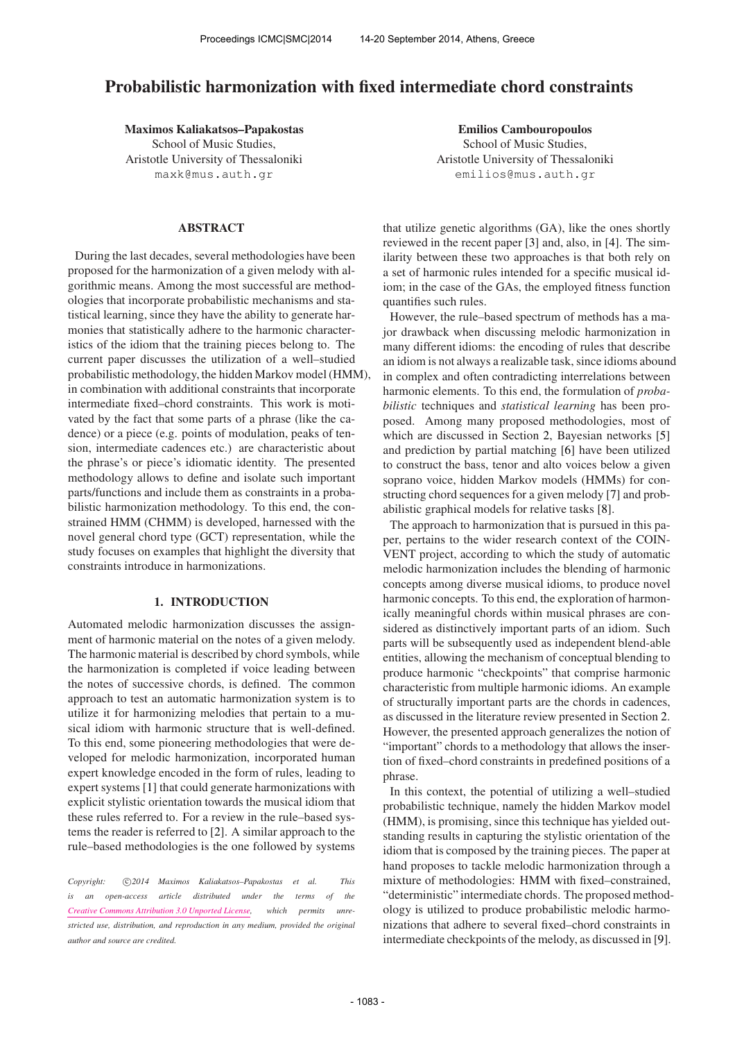# Probabilistic harmonization with fixed intermediate chord constraints

Maximos Kaliakatsos–Papakostas School of Music Studies, Aristotle University of Thessaloniki [maxk@mus.auth.gr](mailto:maxk@mus.auth.gr)

## ABSTRACT

During the last decades, several methodologies have been proposed for the harmonization of a given melody with algorithmic means. Among the most successful are methodologies that incorporate probabilistic mechanisms and statistical learning, since they have the ability to generate harmonies that statistically adhere to the harmonic characteristics of the idiom that the training pieces belong to. The current paper discusses the utilization of a well–studied probabilistic methodology, the hidden Markov model (HMM), in combination with additional constraints that incorporate intermediate fixed–chord constraints. This work is motivated by the fact that some parts of a phrase (like the cadence) or a piece (e.g. points of modulation, peaks of tension, intermediate cadences etc.) are characteristic about the phrase's or piece's idiomatic identity. The presented methodology allows to define and isolate such important parts/functions and include them as constraints in a probabilistic harmonization methodology. To this end, the constrained HMM (CHMM) is developed, harnessed with the novel general chord type (GCT) representation, while the study focuses on examples that highlight the diversity that constraints introduce in harmonizations.

## 1. INTRODUCTION

Automated melodic harmonization discusses the assignment of harmonic material on the notes of a given melody. The harmonic material is described by chord symbols, while the harmonization is completed if voice leading between the notes of successive chords, is defined. The common approach to test an automatic harmonization system is to utilize it for harmonizing melodies that pertain to a musical idiom with harmonic structure that is well-defined. To this end, some pioneering methodologies that were developed for melodic harmonization, incorporated human expert knowledge encoded in the form of rules, leading to expert systems [1] that could generate harmonizations with explicit stylistic orientation towards the musical idiom that these rules referred to. For a review in the rule–based systems the reader is referred to [2]. A similar approach to the rule–based methodologies is the one followed by systems

Copyright:  $\bigcirc$ 2014 Maximos Kaliakatsos-Papakostas et al. This *is an open-access article distributed under the terms of the [Creative Commons Attribution 3.0 Unported License,](http://creativecommons.org/licenses/by/3.0/) which permits unrestricted use, distribution, and reproduction in any medium, provided the original author and source are credited.*

Emilios Cambouropoulos School of Music Studies, Aristotle University of Thessaloniki [emilios@mus.auth.gr](mailto:emilios@mus.auth.gr)

that utilize genetic algorithms (GA), like the ones shortly reviewed in the recent paper [3] and, also, in [4]. The similarity between these two approaches is that both rely on a set of harmonic rules intended for a specific musical idiom; in the case of the GAs, the employed fitness function quantifies such rules.

However, the rule–based spectrum of methods has a major drawback when discussing melodic harmonization in many different idioms: the encoding of rules that describe an idiom is not always a realizable task, since idioms abound in complex and often contradicting interrelations between harmonic elements. To this end, the formulation of *probabilistic* techniques and *statistical learning* has been proposed. Among many proposed methodologies, most of which are discussed in Section 2, Bayesian networks [5] and prediction by partial matching [6] have been utilized to construct the bass, tenor and alto voices below a given soprano voice, hidden Markov models (HMMs) for constructing chord sequences for a given melody [7] and probabilistic graphical models for relative tasks [8].

The approach to harmonization that is pursued in this paper, pertains to the wider research context of the COIN-VENT project, according to which the study of automatic melodic harmonization includes the blending of harmonic concepts among diverse musical idioms, to produce novel harmonic concepts. To this end, the exploration of harmonically meaningful chords within musical phrases are considered as distinctively important parts of an idiom. Such parts will be subsequently used as independent blend-able entities, allowing the mechanism of conceptual blending to produce harmonic "checkpoints" that comprise harmonic characteristic from multiple harmonic idioms. An example of structurally important parts are the chords in cadences, as discussed in the literature review presented in Section 2. However, the presented approach generalizes the notion of "important" chords to a methodology that allows the insertion of fixed–chord constraints in predefined positions of a phrase.

In this context, the potential of utilizing a well–studied probabilistic technique, namely the hidden Markov model (HMM), is promising, since this technique has yielded outstanding results in capturing the stylistic orientation of the idiom that is composed by the training pieces. The paper at hand proposes to tackle melodic harmonization through a mixture of methodologies: HMM with fixed–constrained, "deterministic" intermediate chords. The proposed methodology is utilized to produce probabilistic melodic harmonizations that adhere to several fixed–chord constraints in intermediate checkpoints of the melody, as discussed in [9].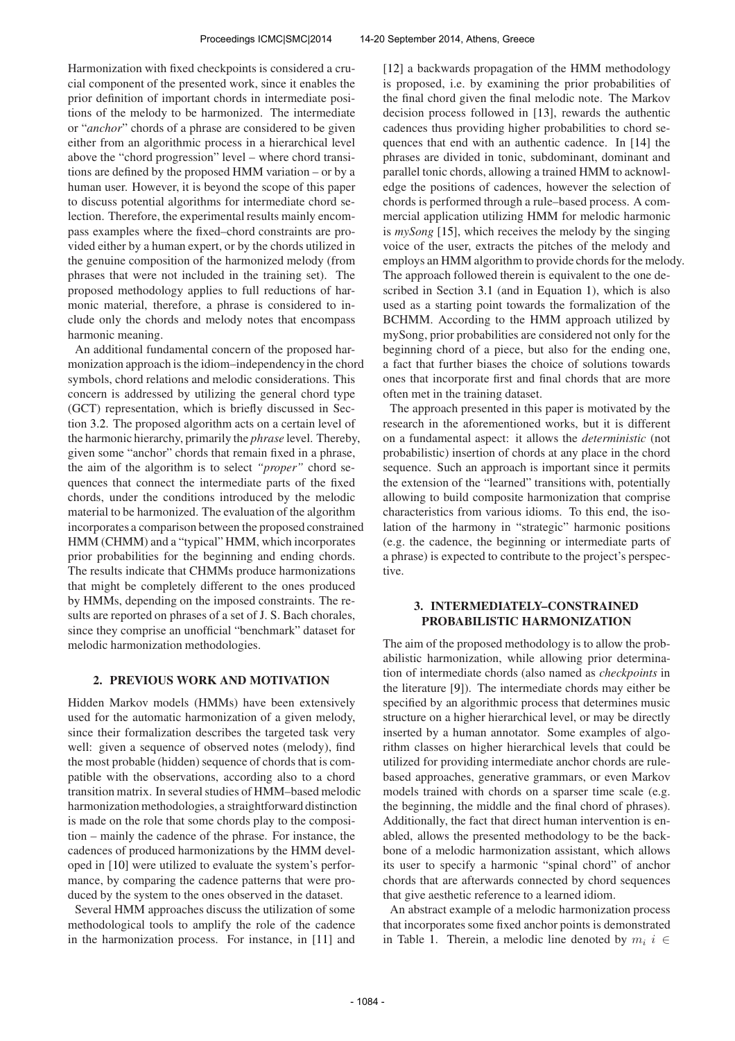Harmonization with fixed checkpoints is considered a crucial component of the presented work, since it enables the prior definition of important chords in intermediate positions of the melody to be harmonized. The intermediate or "*anchor*" chords of a phrase are considered to be given either from an algorithmic process in a hierarchical level above the "chord progression" level – where chord transitions are defined by the proposed HMM variation – or by a human user. However, it is beyond the scope of this paper to discuss potential algorithms for intermediate chord selection. Therefore, the experimental results mainly encompass examples where the fixed–chord constraints are provided either by a human expert, or by the chords utilized in the genuine composition of the harmonized melody (from phrases that were not included in the training set). The proposed methodology applies to full reductions of harmonic material, therefore, a phrase is considered to include only the chords and melody notes that encompass harmonic meaning.

An additional fundamental concern of the proposed harmonization approach is the idiom–independencyin the chord symbols, chord relations and melodic considerations. This concern is addressed by utilizing the general chord type (GCT) representation, which is briefly discussed in Section 3.2. The proposed algorithm acts on a certain level of the harmonic hierarchy, primarily the *phrase* level. Thereby, given some "anchor" chords that remain fixed in a phrase, the aim of the algorithm is to select *"proper"* chord sequences that connect the intermediate parts of the fixed chords, under the conditions introduced by the melodic material to be harmonized. The evaluation of the algorithm incorporates a comparison between the proposed constrained HMM (CHMM) and a "typical" HMM, which incorporates prior probabilities for the beginning and ending chords. The results indicate that CHMMs produce harmonizations that might be completely different to the ones produced by HMMs, depending on the imposed constraints. The results are reported on phrases of a set of J. S. Bach chorales, since they comprise an unofficial "benchmark" dataset for melodic harmonization methodologies.

#### 2. PREVIOUS WORK AND MOTIVATION

Hidden Markov models (HMMs) have been extensively used for the automatic harmonization of a given melody, since their formalization describes the targeted task very well: given a sequence of observed notes (melody), find the most probable (hidden) sequence of chords that is compatible with the observations, according also to a chord transition matrix. In several studies of HMM–based melodic harmonization methodologies, a straightforward distinction is made on the role that some chords play to the composition – mainly the cadence of the phrase. For instance, the cadences of produced harmonizations by the HMM developed in [10] were utilized to evaluate the system's performance, by comparing the cadence patterns that were produced by the system to the ones observed in the dataset.

Several HMM approaches discuss the utilization of some methodological tools to amplify the role of the cadence in the harmonization process. For instance, in [11] and [12] a backwards propagation of the HMM methodology is proposed, i.e. by examining the prior probabilities of the final chord given the final melodic note. The Markov decision process followed in [13], rewards the authentic cadences thus providing higher probabilities to chord sequences that end with an authentic cadence. In [14] the phrases are divided in tonic, subdominant, dominant and parallel tonic chords, allowing a trained HMM to acknowledge the positions of cadences, however the selection of chords is performed through a rule–based process. A commercial application utilizing HMM for melodic harmonic is *mySong* [15], which receives the melody by the singing voice of the user, extracts the pitches of the melody and employs an HMM algorithm to provide chords for the melody. The approach followed therein is equivalent to the one described in Section 3.1 (and in Equation 1), which is also used as a starting point towards the formalization of the BCHMM. According to the HMM approach utilized by mySong, prior probabilities are considered not only for the beginning chord of a piece, but also for the ending one, a fact that further biases the choice of solutions towards ones that incorporate first and final chords that are more often met in the training dataset.

The approach presented in this paper is motivated by the research in the aforementioned works, but it is different on a fundamental aspect: it allows the *deterministic* (not probabilistic) insertion of chords at any place in the chord sequence. Such an approach is important since it permits the extension of the "learned" transitions with, potentially allowing to build composite harmonization that comprise characteristics from various idioms. To this end, the isolation of the harmony in "strategic" harmonic positions (e.g. the cadence, the beginning or intermediate parts of a phrase) is expected to contribute to the project's perspective.

### 3. INTERMEDIATELY–CONSTRAINED PROBABILISTIC HARMONIZATION

The aim of the proposed methodology is to allow the probabilistic harmonization, while allowing prior determination of intermediate chords (also named as *checkpoints* in the literature [9]). The intermediate chords may either be specified by an algorithmic process that determines music structure on a higher hierarchical level, or may be directly inserted by a human annotator. Some examples of algorithm classes on higher hierarchical levels that could be utilized for providing intermediate anchor chords are rulebased approaches, generative grammars, or even Markov models trained with chords on a sparser time scale (e.g. the beginning, the middle and the final chord of phrases). Additionally, the fact that direct human intervention is enabled, allows the presented methodology to be the backbone of a melodic harmonization assistant, which allows its user to specify a harmonic "spinal chord" of anchor chords that are afterwards connected by chord sequences that give aesthetic reference to a learned idiom.

An abstract example of a melodic harmonization process that incorporates some fixed anchor points is demonstrated in Table 1. Therein, a melodic line denoted by  $m_i$  i ∈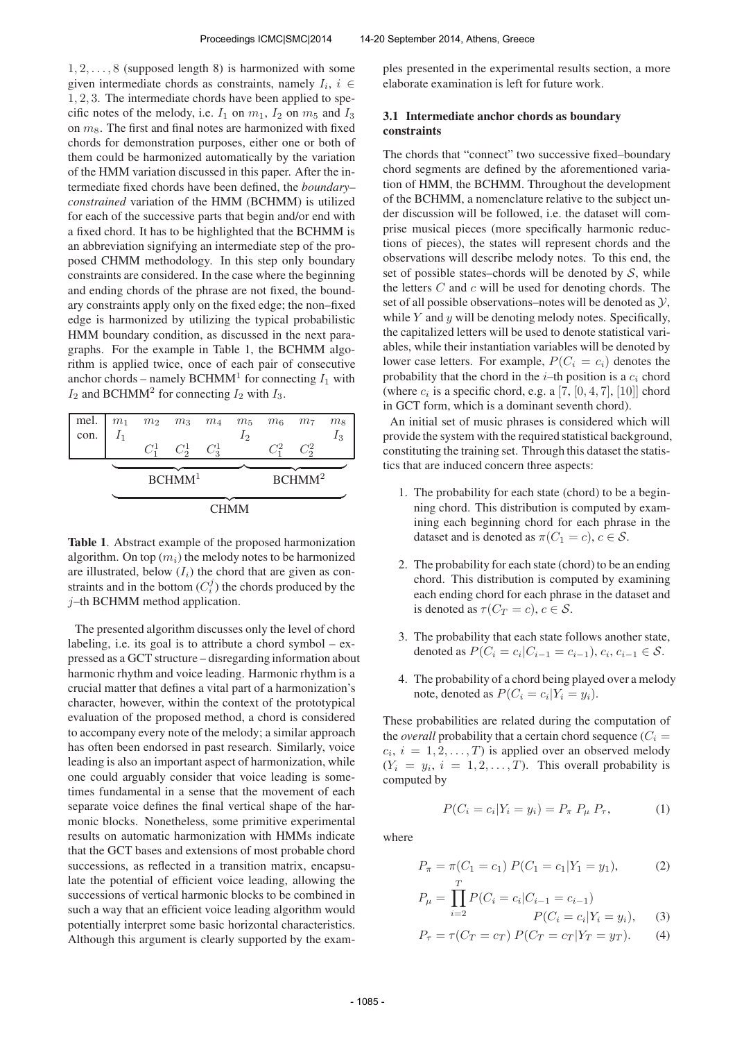$1, 2, \ldots, 8$  (supposed length 8) is harmonized with some given intermediate chords as constraints, namely  $I_i$ ,  $i \in$ 1, 2, 3. The intermediate chords have been applied to specific notes of the melody, i.e.  $I_1$  on  $m_1$ ,  $I_2$  on  $m_5$  and  $I_3$ on  $m_8$ . The first and final notes are harmonized with fixed chords for demonstration purposes, either one or both of them could be harmonized automatically by the variation of the HMM variation discussed in this paper. After the intermediate fixed chords have been defined, the *boundary– constrained* variation of the HMM (BCHMM) is utilized for each of the successive parts that begin and/or end with a fixed chord. It has to be highlighted that the BCHMM is an abbreviation signifying an intermediate step of the proposed CHMM methodology. In this step only boundary constraints are considered. In the case where the beginning and ending chords of the phrase are not fixed, the boundary constraints apply only on the fixed edge; the non–fixed edge is harmonized by utilizing the typical probabilistic HMM boundary condition, as discussed in the next paragraphs. For the example in Table 1, the BCHMM algorithm is applied twice, once of each pair of consecutive anchor chords – namely BCHMM<sup>1</sup> for connecting  $I_1$  with  $I_2$  and BCHMM<sup>2</sup> for connecting  $I_2$  with  $I_3$ .

| mel. $m_1$ |       | $m_2$ $m_3$ $m_4$ $m_5$ |         |       | $m_6$ $m_7$ |                    | m <sub>8</sub> |
|------------|-------|-------------------------|---------|-------|-------------|--------------------|----------------|
| con.       | $I_1$ |                         |         | $I_2$ |             |                    | $I_3$          |
|            |       | $C_2^1$                 | $C_3^1$ |       |             | $C_2^2$            |                |
|            |       |                         |         |       |             |                    |                |
|            |       |                         |         |       |             |                    |                |
|            |       | BCHMM <sup>1</sup>      |         |       |             | BCHMM <sup>2</sup> |                |
|            |       |                         |         |       |             |                    |                |

Table 1. Abstract example of the proposed harmonization algorithm. On top  $(m_i)$  the melody notes to be harmonized are illustrated, below  $(I_i)$  the chord that are given as constraints and in the bottom  $(C_i^j)$  the chords produced by the j–th BCHMM method application.

The presented algorithm discusses only the level of chord labeling, i.e. its goal is to attribute a chord symbol  $-$  expressed as a GCT structure – disregarding information about harmonic rhythm and voice leading. Harmonic rhythm is a crucial matter that defines a vital part of a harmonization's character, however, within the context of the prototypical evaluation of the proposed method, a chord is considered to accompany every note of the melody; a similar approach has often been endorsed in past research. Similarly, voice leading is also an important aspect of harmonization, while one could arguably consider that voice leading is sometimes fundamental in a sense that the movement of each separate voice defines the final vertical shape of the harmonic blocks. Nonetheless, some primitive experimental results on automatic harmonization with HMMs indicate that the GCT bases and extensions of most probable chord successions, as reflected in a transition matrix, encapsulate the potential of efficient voice leading, allowing the successions of vertical harmonic blocks to be combined in such a way that an efficient voice leading algorithm would potentially interpret some basic horizontal characteristics. Although this argument is clearly supported by the examples presented in the experimental results section, a more elaborate examination is left for future work.

## 3.1 Intermediate anchor chords as boundary constraints

The chords that "connect" two successive fixed–boundary chord segments are defined by the aforementioned variation of HMM, the BCHMM. Throughout the development of the BCHMM, a nomenclature relative to the subject under discussion will be followed, i.e. the dataset will comprise musical pieces (more specifically harmonic reductions of pieces), the states will represent chords and the observations will describe melody notes. To this end, the set of possible states–chords will be denoted by  $S$ , while the letters  $C$  and  $c$  will be used for denoting chords. The set of all possible observations–notes will be denoted as  $\mathcal{Y}$ , while  $Y$  and  $y$  will be denoting melody notes. Specifically, the capitalized letters will be used to denote statistical variables, while their instantiation variables will be denoted by lower case letters. For example,  $P(C_i = c_i)$  denotes the probability that the chord in the  $i$ –th position is a  $c_i$  chord (where  $c_i$  is a specific chord, e.g. a [7,  $[0, 4, 7]$ ,  $[10]$ ] chord in GCT form, which is a dominant seventh chord).

An initial set of music phrases is considered which will provide the system with the required statistical background, constituting the training set. Through this dataset the statistics that are induced concern three aspects:

- 1. The probability for each state (chord) to be a beginning chord. This distribution is computed by examining each beginning chord for each phrase in the dataset and is denoted as  $\pi(C_1 = c)$ ,  $c \in \mathcal{S}$ .
- 2. The probability for each state (chord) to be an ending chord. This distribution is computed by examining each ending chord for each phrase in the dataset and is denoted as  $\tau(C_T = c), c \in \mathcal{S}$ .
- 3. The probability that each state follows another state, denoted as  $P(C_i = c_i | C_{i-1} = c_{i-1}), c_i, c_{i-1} \in S$ .
- 4. The probability of a chord being played over a melody note, denoted as  $P(C_i = c_i | Y_i = y_i)$ .

These probabilities are related during the computation of the *overall* probability that a certain chord sequence  $(C_i =$  $c_i$ ,  $i = 1, 2, \dots, T$  is applied over an observed melody  $(Y_i = y_i, i = 1, 2, \dots, T)$ . This overall probability is computed by

$$
P(C_i = c_i | Y_i = y_i) = P_{\pi} P_{\mu} P_{\tau}, \tag{1}
$$

where

$$
P_{\pi} = \pi(C_1 = c_1) P(C_1 = c_1 | Y_1 = y_1), \tag{2}
$$

$$
P_{\mu} = \prod_{i=2}^{T} P(C_i = c_i | C_{i-1} = c_{i-1})
$$
  

$$
P(C_i = c_i | Y_i = y_i)
$$
 (3)

$$
P(C_i = c_i | Y_i = y_i), \t(3)
$$

$$
P_{\tau} = \tau(C_T = c_T) \, P(C_T = c_T | Y_T = y_T). \tag{4}
$$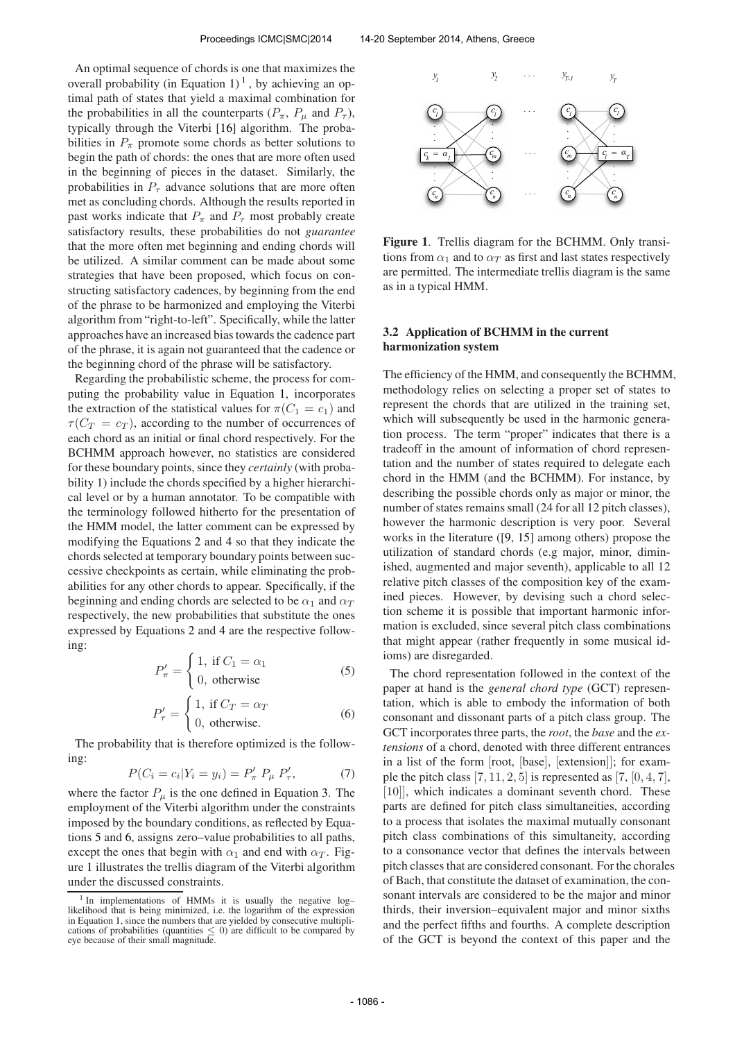An optimal sequence of chords is one that maximizes the overall probability (in Equation 1)<sup>1</sup>, by achieving an optimal path of states that yield a maximal combination for the probabilities in all the counterparts  $(P_{\pi}, P_{\mu}$  and  $P_{\tau}$ ), typically through the Viterbi [16] algorithm. The probabilities in  $P_{\pi}$  promote some chords as better solutions to begin the path of chords: the ones that are more often used in the beginning of pieces in the dataset. Similarly, the probabilities in  $P_{\tau}$  advance solutions that are more often met as concluding chords. Although the results reported in past works indicate that  $P_{\pi}$  and  $P_{\tau}$  most probably create satisfactory results, these probabilities do not *guarantee* that the more often met beginning and ending chords will be utilized. A similar comment can be made about some strategies that have been proposed, which focus on constructing satisfactory cadences, by beginning from the end of the phrase to be harmonized and employing the Viterbi algorithm from "right-to-left". Specifically, while the latter approaches have an increased bias towards the cadence part of the phrase, it is again not guaranteed that the cadence or the beginning chord of the phrase will be satisfactory.

Regarding the probabilistic scheme, the process for computing the probability value in Equation 1, incorporates the extraction of the statistical values for  $\pi(C_1 = c_1)$  and  $\tau(C_T = c_T)$ , according to the number of occurrences of each chord as an initial or final chord respectively. For the BCHMM approach however, no statistics are considered for these boundary points, since they *certainly* (with probability 1) include the chords specified by a higher hierarchical level or by a human annotator. To be compatible with the terminology followed hitherto for the presentation of the HMM model, the latter comment can be expressed by modifying the Equations 2 and 4 so that they indicate the chords selected at temporary boundary points between successive checkpoints as certain, while eliminating the probabilities for any other chords to appear. Specifically, if the beginning and ending chords are selected to be  $\alpha_1$  and  $\alpha_T$ respectively, the new probabilities that substitute the ones expressed by Equations 2 and 4 are the respective following:

$$
P'_{\pi} = \begin{cases} 1, & \text{if } C_1 = \alpha_1 \\ 0, & \text{otherwise} \end{cases}
$$
 (5)

$$
P'_{\tau} = \begin{cases} 1, & \text{if } C_T = \alpha_T \\ 0, & \text{otherwise.} \end{cases}
$$
 (6)

The probability that is therefore optimized is the following:

$$
P(C_i = c_i | Y_i = y_i) = P'_{\pi} P_{\mu} P'_{\tau}, \tag{7}
$$

where the factor  $P_{\mu}$  is the one defined in Equation 3. The employment of the Viterbi algorithm under the constraints imposed by the boundary conditions, as reflected by Equations 5 and 6, assigns zero–value probabilities to all paths, except the ones that begin with  $\alpha_1$  and end with  $\alpha_T$ . Figure 1 illustrates the trellis diagram of the Viterbi algorithm under the discussed constraints.



Figure 1. Trellis diagram for the BCHMM. Only transitions from  $\alpha_1$  and to  $\alpha_T$  as first and last states respectively are permitted. The intermediate trellis diagram is the same as in a typical HMM.

#### 3.2 Application of BCHMM in the current harmonization system

The efficiency of the HMM, and consequently the BCHMM, methodology relies on selecting a proper set of states to represent the chords that are utilized in the training set, which will subsequently be used in the harmonic generation process. The term "proper" indicates that there is a tradeoff in the amount of information of chord representation and the number of states required to delegate each chord in the HMM (and the BCHMM). For instance, by describing the possible chords only as major or minor, the number of states remains small (24 for all 12 pitch classes), however the harmonic description is very poor. Several works in the literature ([9, 15] among others) propose the utilization of standard chords (e.g major, minor, diminished, augmented and major seventh), applicable to all 12 relative pitch classes of the composition key of the examined pieces. However, by devising such a chord selection scheme it is possible that important harmonic information is excluded, since several pitch class combinations that might appear (rather frequently in some musical idioms) are disregarded.

The chord representation followed in the context of the paper at hand is the *general chord type* (GCT) representation, which is able to embody the information of both consonant and dissonant parts of a pitch class group. The GCT incorporates three parts, the *root*, the *base* and the *extensions* of a chord, denoted with three different entrances in a list of the form [root, [base], [extension]]; for example the pitch class  $[7, 11, 2, 5]$  is represented as  $[7, [0, 4, 7]$ , [10]], which indicates a dominant seventh chord. These parts are defined for pitch class simultaneities, according to a process that isolates the maximal mutually consonant pitch class combinations of this simultaneity, according to a consonance vector that defines the intervals between pitch classes that are considered consonant. For the chorales of Bach, that constitute the dataset of examination, the consonant intervals are considered to be the major and minor thirds, their inversion–equivalent major and minor sixths and the perfect fifths and fourths. A complete description of the GCT is beyond the context of this paper and the

<sup>&</sup>lt;sup>1</sup> In implementations of HMMs it is usually the negative loglikelihood that is being minimized, i.e. the logarithm of the expression in Equation 1, since the numbers that are yielded by consecutive multiplications of probabilities (quantities  $\leq 0$ ) are difficult to be compared by eye because of their small magnitude.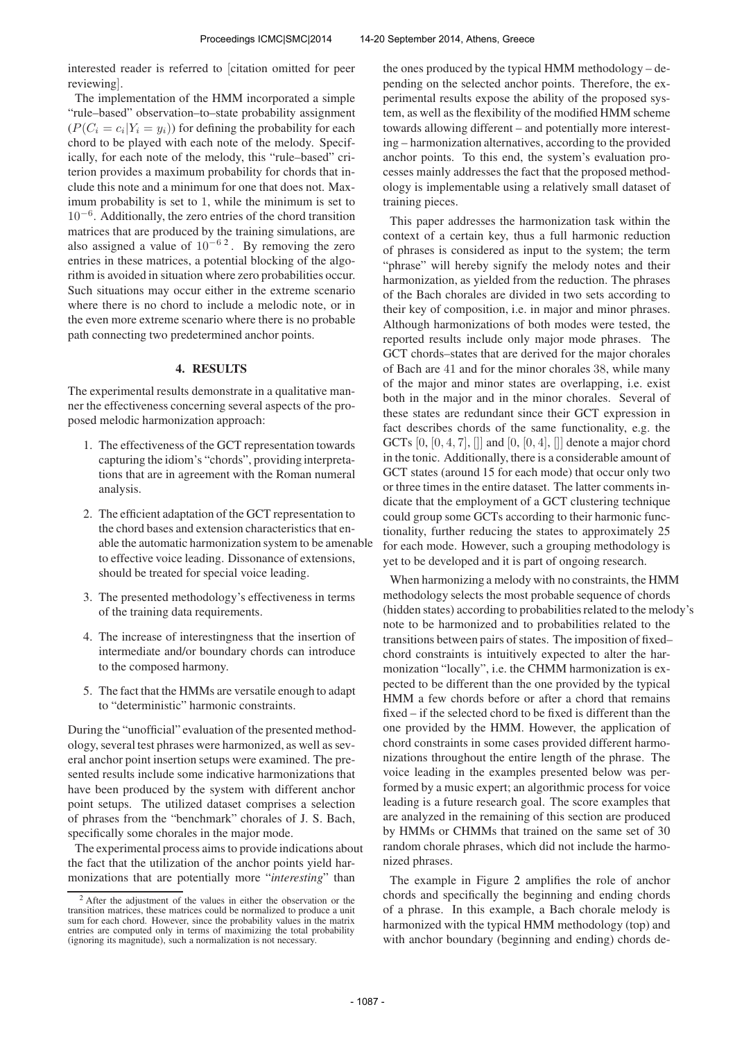interested reader is referred to [citation omitted for peer reviewing].

The implementation of the HMM incorporated a simple "rule–based" observation–to–state probability assignment  $(P(C_i = c_i | Y_i = y_i))$  for defining the probability for each chord to be played with each note of the melody. Specifically, for each note of the melody, this "rule–based" criterion provides a maximum probability for chords that include this note and a minimum for one that does not. Maximum probability is set to 1, while the minimum is set to 10<sup>−</sup><sup>6</sup> . Additionally, the zero entries of the chord transition matrices that are produced by the training simulations, are also assigned a value of  $10^{-6}$ <sup>2</sup>. By removing the zero entries in these matrices, a potential blocking of the algorithm is avoided in situation where zero probabilities occur. Such situations may occur either in the extreme scenario where there is no chord to include a melodic note, or in the even more extreme scenario where there is no probable path connecting two predetermined anchor points.

#### 4. RESULTS

The experimental results demonstrate in a qualitative manner the effectiveness concerning several aspects of the proposed melodic harmonization approach:

- 1. The effectiveness of the GCT representation towards capturing the idiom's "chords", providing interpretations that are in agreement with the Roman numeral analysis.
- 2. The efficient adaptation of the GCT representation to the chord bases and extension characteristics that enable the automatic harmonization system to be amenable to effective voice leading. Dissonance of extensions, should be treated for special voice leading.
- 3. The presented methodology's effectiveness in terms of the training data requirements.
- 4. The increase of interestingness that the insertion of intermediate and/or boundary chords can introduce to the composed harmony.
- 5. The fact that the HMMs are versatile enough to adapt to "deterministic" harmonic constraints.

During the "unofficial" evaluation of the presented methodology, several test phrases were harmonized, as well as several anchor point insertion setups were examined. The presented results include some indicative harmonizations that have been produced by the system with different anchor point setups. The utilized dataset comprises a selection of phrases from the "benchmark" chorales of J. S. Bach, specifically some chorales in the major mode.

The experimental process aims to provide indications about the fact that the utilization of the anchor points yield harmonizations that are potentially more "*interesting*" than

the ones produced by the typical HMM methodology – depending on the selected anchor points. Therefore, the experimental results expose the ability of the proposed system, as well as the flexibility of the modified HMM scheme towards allowing different – and potentially more interesting – harmonization alternatives, according to the provided anchor points. To this end, the system's evaluation processes mainly addresses the fact that the proposed methodology is implementable using a relatively small dataset of training pieces.

This paper addresses the harmonization task within the context of a certain key, thus a full harmonic reduction of phrases is considered as input to the system; the term "phrase" will hereby signify the melody notes and their harmonization, as yielded from the reduction. The phrases of the Bach chorales are divided in two sets according to their key of composition, i.e. in major and minor phrases. Although harmonizations of both modes were tested, the reported results include only major mode phrases. The GCT chords–states that are derived for the major chorales of Bach are 41 and for the minor chorales 38, while many of the major and minor states are overlapping, i.e. exist both in the major and in the minor chorales. Several of these states are redundant since their GCT expression in fact describes chords of the same functionality, e.g. the GCTs  $[0, [0, 4, 7], ]$  and  $[0, [0, 4], ]$  denote a major chord in the tonic. Additionally, there is a considerable amount of GCT states (around 15 for each mode) that occur only two or three times in the entire dataset. The latter comments indicate that the employment of a GCT clustering technique could group some GCTs according to their harmonic functionality, further reducing the states to approximately 25 for each mode. However, such a grouping methodology is yet to be developed and it is part of ongoing research.

When harmonizing a melody with no constraints, the HMM methodology selects the most probable sequence of chords (hidden states) according to probabilities related to the melody's note to be harmonized and to probabilities related to the transitions between pairs of states. The imposition of fixed– chord constraints is intuitively expected to alter the harmonization "locally", i.e. the CHMM harmonization is expected to be different than the one provided by the typical HMM a few chords before or after a chord that remains fixed – if the selected chord to be fixed is different than the one provided by the HMM. However, the application of chord constraints in some cases provided different harmonizations throughout the entire length of the phrase. The voice leading in the examples presented below was performed by a music expert; an algorithmic process for voice leading is a future research goal. The score examples that are analyzed in the remaining of this section are produced by HMMs or CHMMs that trained on the same set of 30 random chorale phrases, which did not include the harmonized phrases.

The example in Figure 2 amplifies the role of anchor chords and specifically the beginning and ending chords of a phrase. In this example, a Bach chorale melody is harmonized with the typical HMM methodology (top) and with anchor boundary (beginning and ending) chords de-

<sup>&</sup>lt;sup>2</sup> After the adjustment of the values in either the observation or the transition matrices, these matrices could be normalized to produce a unit sum for each chord. However, since the probability values in the matrix entries are computed only in terms of maximizing the total probability (ignoring its magnitude), such a normalization is not necessary.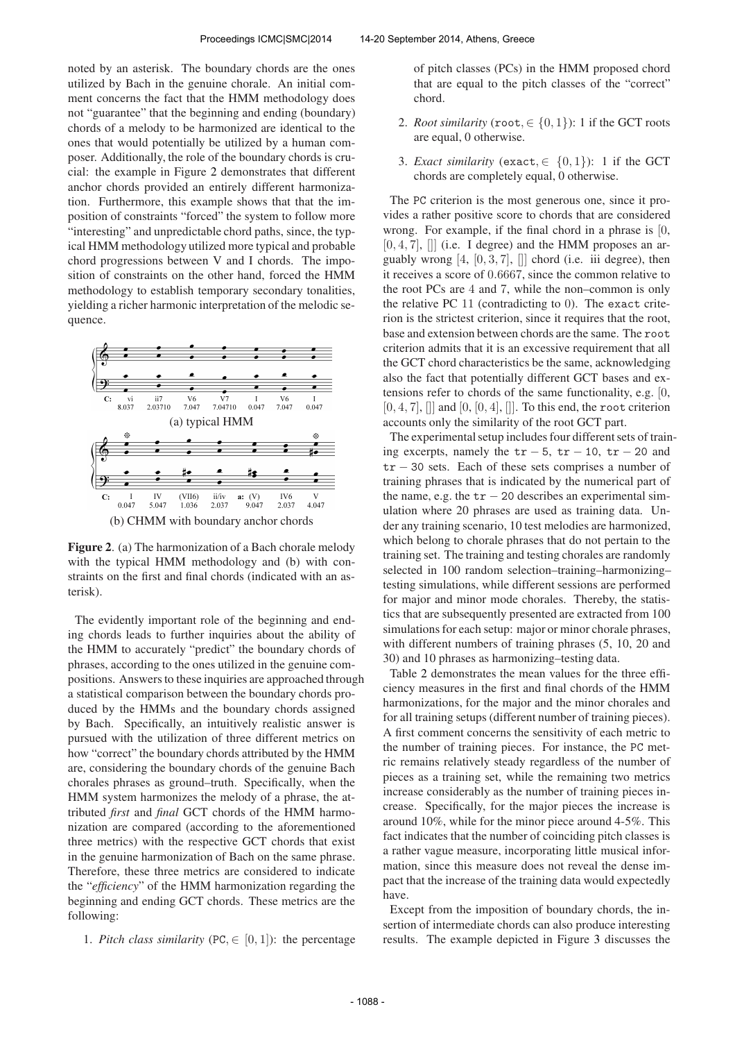noted by an asterisk. The boundary chords are the ones utilized by Bach in the genuine chorale. An initial comment concerns the fact that the HMM methodology does not "guarantee" that the beginning and ending (boundary) chords of a melody to be harmonized are identical to the ones that would potentially be utilized by a human composer. Additionally, the role of the boundary chords is crucial: the example in Figure 2 demonstrates that different anchor chords provided an entirely different harmonization. Furthermore, this example shows that that the imposition of constraints "forced" the system to follow more "interesting" and unpredictable chord paths, since, the typical HMM methodology utilized more typical and probable chord progressions between V and I chords. The imposition of constraints on the other hand, forced the HMM methodology to establish temporary secondary tonalities, yielding a richer harmonic interpretation of the melodic sequence.



Figure 2. (a) The harmonization of a Bach chorale melody with the typical HMM methodology and (b) with constraints on the first and final chords (indicated with an asterisk).

The evidently important role of the beginning and ending chords leads to further inquiries about the ability of the HMM to accurately "predict" the boundary chords of phrases, according to the ones utilized in the genuine compositions. Answers to these inquiries are approached through a statistical comparison between the boundary chords produced by the HMMs and the boundary chords assigned by Bach. Specifically, an intuitively realistic answer is pursued with the utilization of three different metrics on how "correct" the boundary chords attributed by the HMM are, considering the boundary chords of the genuine Bach chorales phrases as ground–truth. Specifically, when the HMM system harmonizes the melody of a phrase, the attributed *first* and *final* GCT chords of the HMM harmonization are compared (according to the aforementioned three metrics) with the respective GCT chords that exist in the genuine harmonization of Bach on the same phrase. Therefore, these three metrics are considered to indicate the "*efficiency*" of the HMM harmonization regarding the beginning and ending GCT chords. These metrics are the following:

1. *Pitch class similarity* (PC,  $\in$  [0, 1]): the percentage

of pitch classes (PCs) in the HMM proposed chord that are equal to the pitch classes of the "correct" chord.

- 2. *Root similarity* (root,  $\in \{0, 1\}$ ): 1 if the GCT roots are equal, 0 otherwise.
- 3. *Exact similarity* (exact,  $\in \{0,1\}$ ): 1 if the GCT chords are completely equal, 0 otherwise.

The PC criterion is the most generous one, since it provides a rather positive score to chords that are considered wrong. For example, if the final chord in a phrase is [0,  $[0, 4, 7]$ ,  $[$ ] (i.e. I degree) and the HMM proposes an arguably wrong  $[4, [0, 3, 7], ]$  chord (i.e. iii degree), then it receives a score of 0.6667, since the common relative to the root PCs are 4 and 7, while the non–common is only the relative PC 11 (contradicting to 0). The exact criterion is the strictest criterion, since it requires that the root, base and extension between chords are the same. The root criterion admits that it is an excessive requirement that all the GCT chord characteristics be the same, acknowledging also the fact that potentially different GCT bases and extensions refer to chords of the same functionality, e.g. [0,  $[0, 4, 7]$ ,  $[[]$  and  $[0, [0, 4]$ ,  $[[]]$ . To this end, the root criterion accounts only the similarity of the root GCT part.

The experimental setup includes four different sets of training excerpts, namely the  $tr - 5$ ,  $tr - 10$ ,  $tr - 20$  and tr − 30 sets. Each of these sets comprises a number of training phrases that is indicated by the numerical part of the name, e.g. the  $tr - 20$  describes an experimental simulation where 20 phrases are used as training data. Under any training scenario, 10 test melodies are harmonized, which belong to chorale phrases that do not pertain to the training set. The training and testing chorales are randomly selected in 100 random selection–training–harmonizing– testing simulations, while different sessions are performed for major and minor mode chorales. Thereby, the statistics that are subsequently presented are extracted from 100 simulations for each setup: major or minor chorale phrases, with different numbers of training phrases  $(5, 10, 20, 20)$ 30) and 10 phrases as harmonizing–testing data.

Table 2 demonstrates the mean values for the three efficiency measures in the first and final chords of the HMM harmonizations, for the major and the minor chorales and for all training setups (different number of training pieces). A first comment concerns the sensitivity of each metric to the number of training pieces. For instance, the PC metric remains relatively steady regardless of the number of pieces as a training set, while the remaining two metrics increase considerably as the number of training pieces increase. Specifically, for the major pieces the increase is around 10%, while for the minor piece around 4-5%. This fact indicates that the number of coinciding pitch classes is a rather vague measure, incorporating little musical information, since this measure does not reveal the dense impact that the increase of the training data would expectedly have.

Except from the imposition of boundary chords, the insertion of intermediate chords can also produce interesting results. The example depicted in Figure 3 discusses the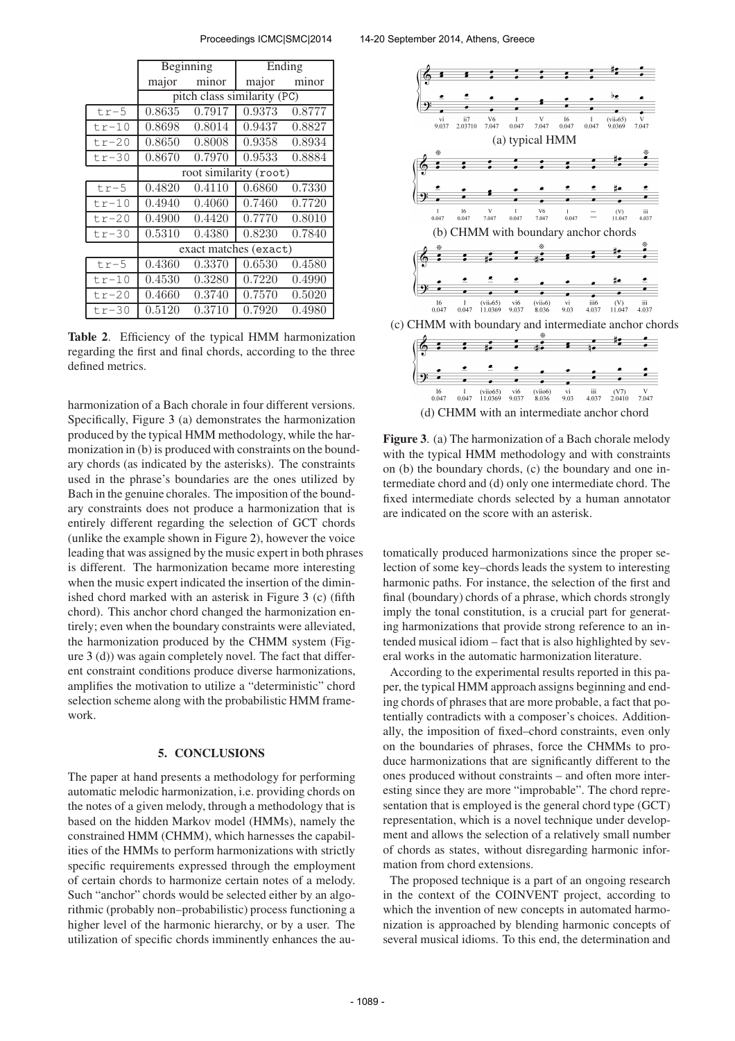|         |                             | Beginning | $\overline{\text{E}}$ nding |        |  |  |  |  |
|---------|-----------------------------|-----------|-----------------------------|--------|--|--|--|--|
|         | major                       | minor     | major                       | minor  |  |  |  |  |
|         | pitch class similarity (PC) |           |                             |        |  |  |  |  |
| $tr-5$  | 0.8635                      | 0.7917    | 0.9373                      | 0.8777 |  |  |  |  |
| $tr-10$ | 0.8698                      | 0.8014    | 0.9437                      | 0.8827 |  |  |  |  |
| $tr-20$ | 0.8650                      | 0.8008    | 0.9358                      | 0.8934 |  |  |  |  |
| $tr-30$ | 0.8670                      | 0.7970    | 0.9533                      | 0.8884 |  |  |  |  |
|         | root similarity (root)      |           |                             |        |  |  |  |  |
| $tr-5$  | 0.4820                      | 0.4110    | 0.6860                      | 0.7330 |  |  |  |  |
| $tr-10$ | 0.4940                      | 0.4060    | 0.7460                      | 0.7720 |  |  |  |  |
| $tr-20$ | 0.4900                      | 0.4420    | 0.7770                      | 0.8010 |  |  |  |  |
| $tr-30$ | 0.5310                      | 0.4380    | 0.8230                      | 0.7840 |  |  |  |  |
|         | exact matches (exact)       |           |                             |        |  |  |  |  |
| $tr-5$  | 0.4360                      | 0.3370    | 0.6530                      | 0.4580 |  |  |  |  |
| $tr-10$ | 0.4530                      | 0.3280    | 0.7220                      | 0.4990 |  |  |  |  |
| $tr-20$ | 0.4660                      | 0.3740    | 0.7570                      | 0.5020 |  |  |  |  |
| $tr-30$ | 0.5120                      | 0.3710    | 0.7920                      | 0.4980 |  |  |  |  |

Table 2. Efficiency of the typical HMM harmonization regarding the first and final chords, according to the three defined metrics.

harmonization of a Bach chorale in four different versions. Specifically, Figure 3 (a) demonstrates the harmonization produced by the typical HMM methodology, while the harmonization in (b) is produced with constraints on the boundary chords (as indicated by the asterisks). The constraints used in the phrase's boundaries are the ones utilized by Bach in the genuine chorales. The imposition of the boundary constraints does not produce a harmonization that is entirely different regarding the selection of GCT chords (unlike the example shown in Figure 2), however the voice leading that was assigned by the music expert in both phrases is different. The harmonization became more interesting when the music expert indicated the insertion of the diminished chord marked with an asterisk in Figure 3 (c) (fifth chord). This anchor chord changed the harmonization entirely; even when the boundary constraints were alleviated, the harmonization produced by the CHMM system (Figure 3 (d)) was again completely novel. The fact that different constraint conditions produce diverse harmonizations, amplifies the motivation to utilize a "deterministic" chord selection scheme along with the probabilistic HMM framework.

## 5. CONCLUSIONS

The paper at hand presents a methodology for performing automatic melodic harmonization, i.e. providing chords on the notes of a given melody, through a methodology that is based on the hidden Markov model (HMMs), namely the constrained HMM (CHMM), which harnesses the capabilities of the HMMs to perform harmonizations with strictly specific requirements expressed through the employment of certain chords to harmonize certain notes of a melody. Such "anchor" chords would be selected either by an algorithmic (probably non–probabilistic) process functioning a higher level of the harmonic hierarchy, or by a user. The utilization of specific chords imminently enhances the au-



Figure 3. (a) The harmonization of a Bach chorale melody with the typical HMM methodology and with constraints on (b) the boundary chords, (c) the boundary and one intermediate chord and (d) only one intermediate chord. The fixed intermediate chords selected by a human annotator are indicated on the score with an asterisk.

tomatically produced harmonizations since the proper selection of some key–chords leads the system to interesting harmonic paths. For instance, the selection of the first and final (boundary) chords of a phrase, which chords strongly imply the tonal constitution, is a crucial part for generating harmonizations that provide strong reference to an intended musical idiom – fact that is also highlighted by several works in the automatic harmonization literature.

According to the experimental results reported in this paper, the typical HMM approach assigns beginning and ending chords of phrases that are more probable, a fact that potentially contradicts with a composer's choices. Additionally, the imposition of fixed–chord constraints, even only on the boundaries of phrases, force the CHMMs to produce harmonizations that are significantly different to the ones produced without constraints – and often more interesting since they are more "improbable". The chord representation that is employed is the general chord type (GCT) representation, which is a novel technique under development and allows the selection of a relatively small number of chords as states, without disregarding harmonic information from chord extensions.

The proposed technique is a part of an ongoing research in the context of the COINVENT project, according to which the invention of new concepts in automated harmonization is approached by blending harmonic concepts of several musical idioms. To this end, the determination and